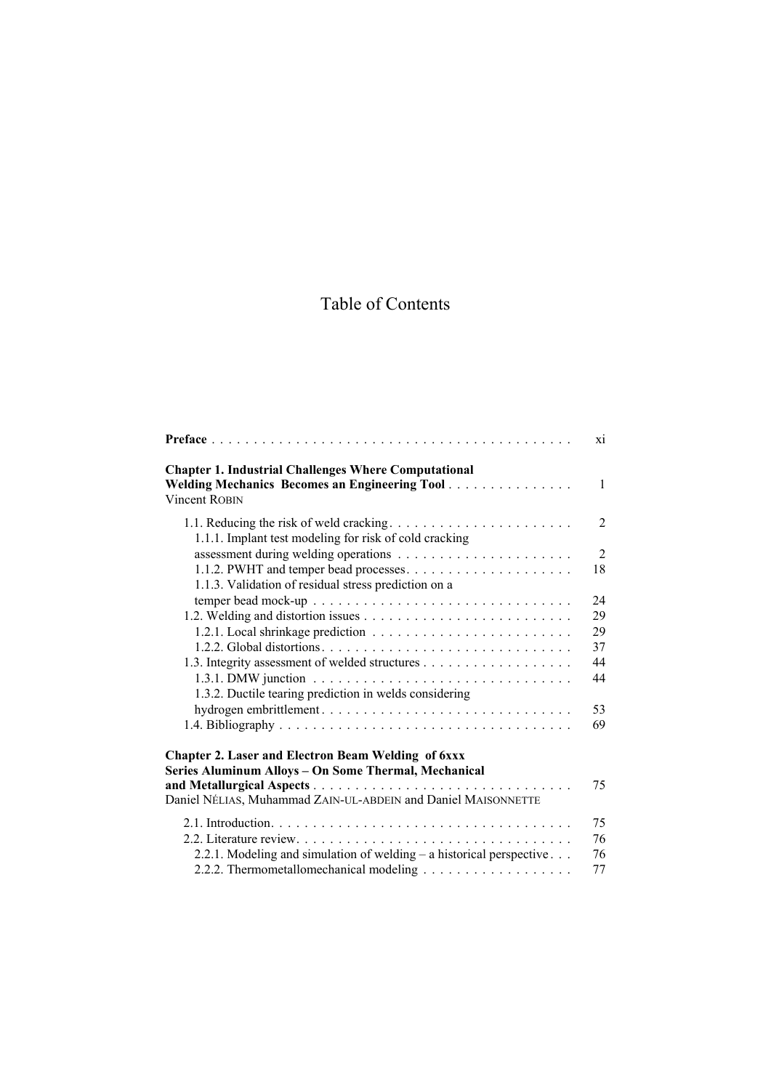## Table of Contents

|                                                                                                                                      | xi             |
|--------------------------------------------------------------------------------------------------------------------------------------|----------------|
| <b>Chapter 1. Industrial Challenges Where Computational</b><br>Welding Mechanics Becomes an Engineering Tool<br><b>Vincent ROBIN</b> | $\mathbf{1}$   |
| 1.1.1. Implant test modeling for risk of cold cracking                                                                               | $\overline{2}$ |
|                                                                                                                                      | $\overline{2}$ |
|                                                                                                                                      | 18             |
| 1.1.3. Validation of residual stress prediction on a                                                                                 |                |
|                                                                                                                                      | 24             |
|                                                                                                                                      | 29             |
|                                                                                                                                      | 29             |
|                                                                                                                                      | 37             |
|                                                                                                                                      | 44             |
|                                                                                                                                      | 44             |
| 1.3.2. Ductile tearing prediction in welds considering                                                                               |                |
| hydrogen embrittlement                                                                                                               | 53             |
|                                                                                                                                      | 69             |
| <b>Chapter 2. Laser and Electron Beam Welding of 6xxx</b><br>Series Aluminum Alloys - On Some Thermal, Mechanical                    |                |
|                                                                                                                                      | 75             |
| Daniel NÉLIAS, Muhammad ZAIN-UL-ABDEIN and Daniel MAISONNETTE                                                                        |                |
|                                                                                                                                      | 75             |
|                                                                                                                                      | 76             |
| 2.2.1. Modeling and simulation of welding – a historical perspective                                                                 | 76             |
|                                                                                                                                      | 77             |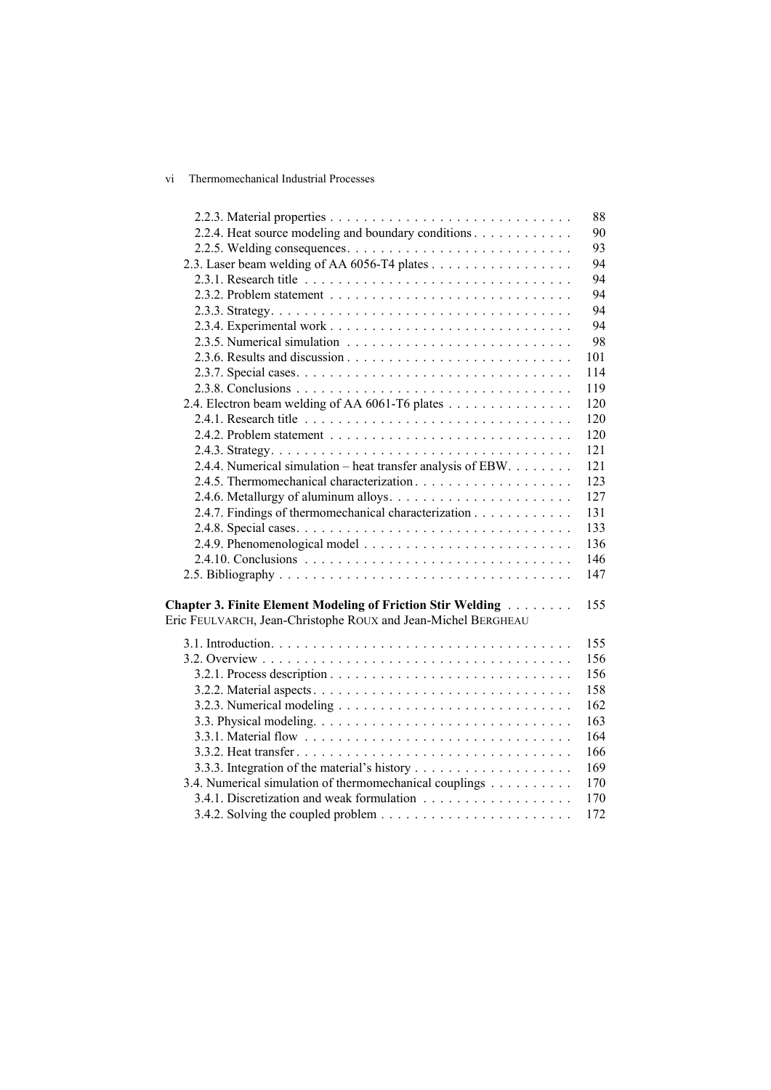## vi Thermomechanical Industrial Processes

|                                                                    | 88  |
|--------------------------------------------------------------------|-----|
| 2.2.4. Heat source modeling and boundary conditions                | 90  |
|                                                                    | 93  |
| 2.3. Laser beam welding of AA 6056-T4 plates                       | 94  |
|                                                                    | 94  |
|                                                                    | 94  |
|                                                                    | 94  |
|                                                                    | 94  |
|                                                                    | 98  |
|                                                                    | 101 |
|                                                                    | 114 |
|                                                                    | 119 |
| 2.4. Electron beam welding of AA 6061-T6 plates                    | 120 |
|                                                                    | 120 |
|                                                                    | 120 |
|                                                                    | 121 |
| 2.4.4. Numerical simulation – heat transfer analysis of EBW.       | 121 |
|                                                                    | 123 |
|                                                                    | 127 |
| 2.4.7. Findings of thermomechanical characterization               | 131 |
|                                                                    | 133 |
|                                                                    | 136 |
|                                                                    | 146 |
|                                                                    | 147 |
|                                                                    |     |
| <b>Chapter 3. Finite Element Modeling of Friction Stir Welding</b> | 155 |
| Eric FEULVARCH, Jean-Christophe ROUX and Jean-Michel BERGHEAU      |     |
|                                                                    |     |
|                                                                    | 155 |
|                                                                    | 156 |
|                                                                    | 156 |
|                                                                    | 158 |
|                                                                    | 162 |
|                                                                    | 163 |
|                                                                    | 164 |
|                                                                    | 166 |
|                                                                    | 169 |
| 3.4. Numerical simulation of thermomechanical couplings            | 170 |
|                                                                    | 170 |
|                                                                    | 172 |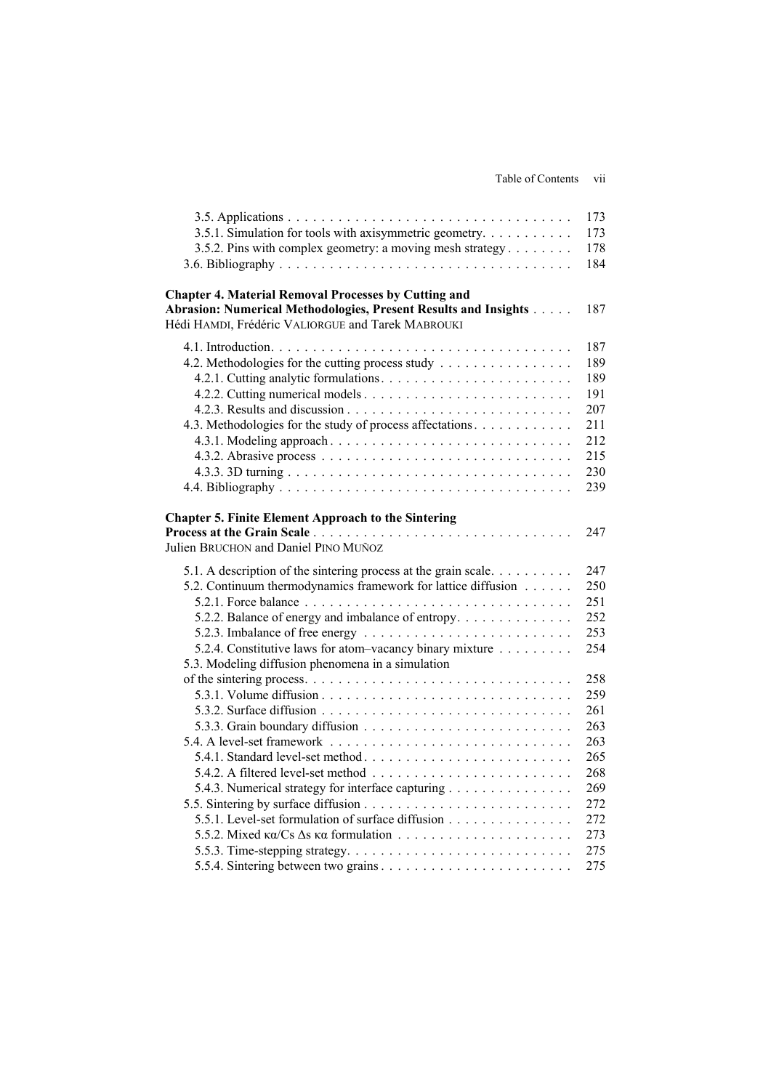Table of Contents vii

| 3.5.1. Simulation for tools with axisymmetric geometry.                                                                                                                                                                               | 173<br>173               |
|---------------------------------------------------------------------------------------------------------------------------------------------------------------------------------------------------------------------------------------|--------------------------|
| 3.5.2. Pins with complex geometry: a moving mesh strategy                                                                                                                                                                             | 178<br>184               |
| <b>Chapter 4. Material Removal Processes by Cutting and</b><br>Abrasion: Numerical Methodologies, Present Results and Insights<br>Hédi HAMDI, Frédéric VALIORGUE and Tarek MABROUKI                                                   | 187                      |
|                                                                                                                                                                                                                                       | 187                      |
| 4.2. Methodologies for the cutting process study                                                                                                                                                                                      | 189                      |
|                                                                                                                                                                                                                                       | 189                      |
|                                                                                                                                                                                                                                       | 191                      |
|                                                                                                                                                                                                                                       | 207                      |
| 4.3. Methodologies for the study of process affectations.                                                                                                                                                                             | 211                      |
|                                                                                                                                                                                                                                       | 212                      |
|                                                                                                                                                                                                                                       | 215                      |
|                                                                                                                                                                                                                                       | 230                      |
|                                                                                                                                                                                                                                       | 239                      |
| <b>Chapter 5. Finite Element Approach to the Sintering</b><br>Julien BRUCHON and Daniel PINO MUÑOZ<br>5.1. A description of the sintering process at the grain scale<br>5.2. Continuum thermodynamics framework for lattice diffusion | 247<br>247<br>250<br>251 |
| 5.2.2. Balance of energy and imbalance of entropy                                                                                                                                                                                     | 252                      |
| 5.2.3. Imbalance of free energy $\ldots \ldots \ldots \ldots \ldots \ldots \ldots$                                                                                                                                                    | 253                      |
| 5.2.4. Constitutive laws for atom-vacancy binary mixture                                                                                                                                                                              | 254                      |
| 5.3. Modeling diffusion phenomena in a simulation                                                                                                                                                                                     |                          |
|                                                                                                                                                                                                                                       | 258                      |
|                                                                                                                                                                                                                                       | 259                      |
|                                                                                                                                                                                                                                       | 261                      |
|                                                                                                                                                                                                                                       | 263<br>263               |
| 5.4.1. Standard level-set method                                                                                                                                                                                                      | 265                      |
|                                                                                                                                                                                                                                       | 268                      |
| 5.4.3. Numerical strategy for interface capturing                                                                                                                                                                                     | 269                      |
|                                                                                                                                                                                                                                       | 272                      |
| 5.5.1. Level-set formulation of surface diffusion                                                                                                                                                                                     | 272                      |
|                                                                                                                                                                                                                                       | 273                      |
|                                                                                                                                                                                                                                       | 275                      |
| 5.5.4. Sintering between two grains. $\dots \dots \dots \dots \dots \dots \dots \dots \dots$                                                                                                                                          | 275                      |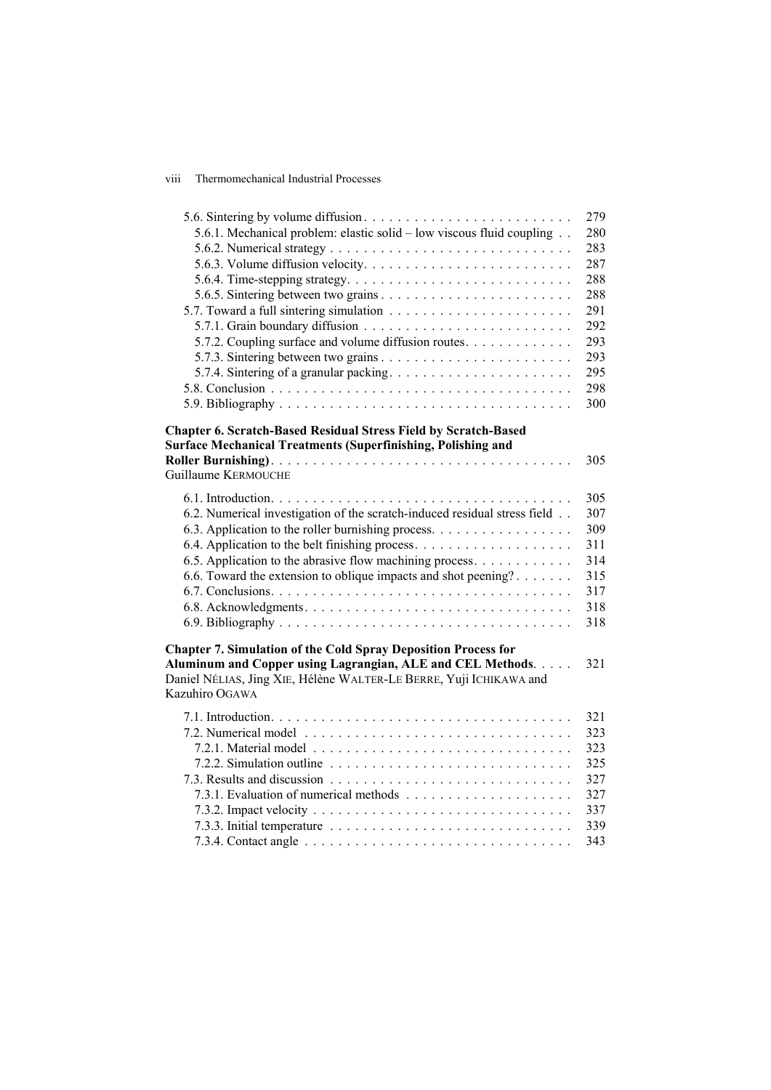## viii Thermomechanical Industrial Processes

| 5.6.1. Mechanical problem: elastic solid – low viscous fluid coupling                                                                                                | 279<br>280 |
|----------------------------------------------------------------------------------------------------------------------------------------------------------------------|------------|
|                                                                                                                                                                      | 283        |
|                                                                                                                                                                      | 287        |
|                                                                                                                                                                      | 288        |
|                                                                                                                                                                      | 288        |
|                                                                                                                                                                      | 291        |
|                                                                                                                                                                      |            |
|                                                                                                                                                                      | 292        |
| 5.7.2. Coupling surface and volume diffusion routes.                                                                                                                 | 293        |
|                                                                                                                                                                      | 293        |
| 5.7.4. Sintering of a granular packing                                                                                                                               | 295        |
|                                                                                                                                                                      | 298        |
|                                                                                                                                                                      | 300        |
| <b>Chapter 6. Scratch-Based Residual Stress Field by Scratch-Based</b><br><b>Surface Mechanical Treatments (Superfinishing, Polishing and</b><br>Guillaume KERMOUCHE | 305        |
|                                                                                                                                                                      | 305        |
| 6.2. Numerical investigation of the scratch-induced residual stress field                                                                                            | 307        |
| 6.3. Application to the roller burnishing process.                                                                                                                   | 309        |
|                                                                                                                                                                      | 311        |
| 6.5. Application to the abrasive flow machining process.                                                                                                             | 314        |
| 6.6. Toward the extension to oblique impacts and shot peening?                                                                                                       | 315        |
|                                                                                                                                                                      | 317        |
|                                                                                                                                                                      | 318        |
|                                                                                                                                                                      | 318        |
|                                                                                                                                                                      |            |
| <b>Chapter 7. Simulation of the Cold Spray Deposition Process for</b>                                                                                                |            |
| Aluminum and Copper using Lagrangian, ALE and CEL Methods.<br>Daniel NÉLIAS, Jing XIE, Hélène WALTER-LE BERRE, Yuji ICHIKAWA and<br>Kazuhiro OGAWA                   | 321        |
|                                                                                                                                                                      | 321        |
|                                                                                                                                                                      | 323        |
|                                                                                                                                                                      | 323        |
|                                                                                                                                                                      | 325        |
|                                                                                                                                                                      | 327        |
|                                                                                                                                                                      | 327        |
|                                                                                                                                                                      | 337        |
|                                                                                                                                                                      | 339        |
|                                                                                                                                                                      | 343        |
|                                                                                                                                                                      |            |